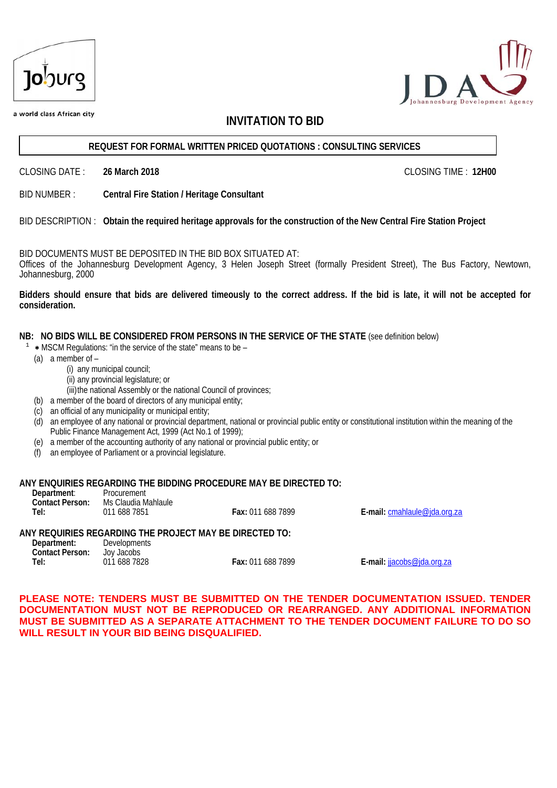| <b>Jo</b> burg |
|----------------|
|                |



a world class African city

## **INVITATION TO BID**

#### **REQUEST FOR FORMAL WRITTEN PRICED QUOTATIONS : CONSULTING SERVICES**

CLOSING DATE : **26 March 2018** CLOSING TIME : **12H00** 

BID NUMBER : **Central Fire Station / Heritage Consultant**

### BID DESCRIPTION : **Obtain the required heritage approvals for the construction of the New Central Fire Station Project**

BID DOCUMENTS MUST BE DEPOSITED IN THE BID BOX SITUATED AT:

Offices of the Johannesburg Development Agency, 3 Helen Joseph Street (formally President Street), The Bus Factory, Newtown, Johannesburg, 2000

**Bidders should ensure that bids are delivered timeously to the correct address. If the bid is late, it will not be accepted for consideration.** 

**NB: NO BIDS WILL BE CONSIDERED FROM PERSONS IN THE SERVICE OF THE STATE** (see definition below)

- $1$   $\ast$  MSCM Regulations: "in the service of the state" means to be
	- (a) a member of
		- (i) any municipal council;
			- (ii) any provincial legislature; or
			- (iii)the national Assembly or the national Council of provinces;
	- (b) a member of the board of directors of any municipal entity;
	- (c) an official of any municipality or municipal entity;
	- (d) an employee of any national or provincial department, national or provincial public entity or constitutional institution within the meaning of the Public Finance Management Act, 1999 (Act No.1 of 1999);
	- (e) a member of the accounting authority of any national or provincial public entity; or
	- (f) an employee of Parliament or a provincial legislature.

#### **ANY ENQUIRIES REGARDING THE BIDDING PROCEDURE MAY BE DIRECTED TO:**

**Department**: Procurement **Contact Person:** Ms Claudia Mahlaule **Tel:** 011 688 7851 **Fax:** 011 688 7899 **E-mail:** cmahlaule@jda.org.za

### **ANY REQUIRIES REGARDING THE PROJECT MAY BE DIRECTED TO:**

| Department:            | <b>Developments</b> |                   |
|------------------------|---------------------|-------------------|
| <b>Contact Person:</b> | Joy Jacobs          |                   |
| Tel:                   | 011 688 7828        | Fax: 011 688 7899 |

**Tel:** 011 688 7828 **Fax:** 011 688 7899 **E-mail:** jjacobs@jda.org.za

**PLEASE NOTE: TENDERS MUST BE SUBMITTED ON THE TENDER DOCUMENTATION ISSUED. TENDER DOCUMENTATION MUST NOT BE REPRODUCED OR REARRANGED. ANY ADDITIONAL INFORMATION MUST BE SUBMITTED AS A SEPARATE ATTACHMENT TO THE TENDER DOCUMENT FAILURE TO DO SO WILL RESULT IN YOUR BID BEING DISQUALIFIED.**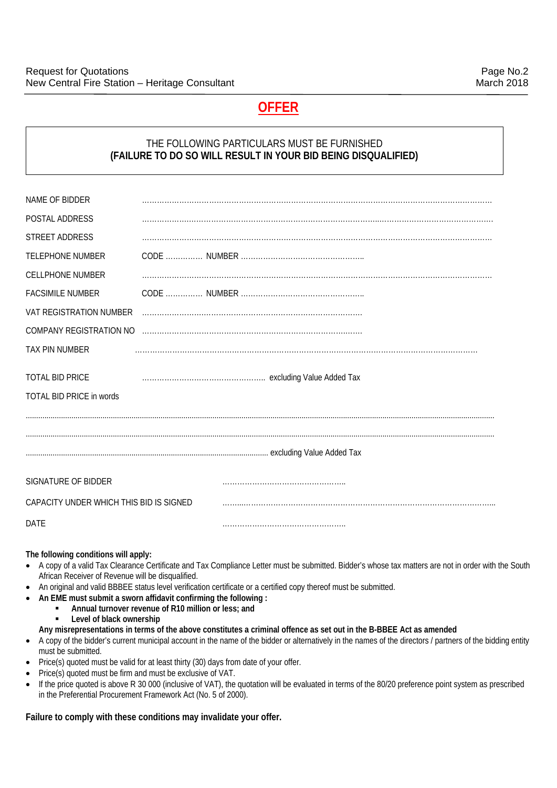## **OFFER**

## THE FOLLOWING PARTICULARS MUST BE FURNISHED **(FAILURE TO DO SO WILL RESULT IN YOUR BID BEING DISQUALIFIED)**

| NAME OF BIDDER                                            |   |  |
|-----------------------------------------------------------|---|--|
| POSTAL ADDRESS                                            |   |  |
| <b>STREET ADDRESS</b>                                     |   |  |
| <b>TELEPHONE NUMBER</b>                                   |   |  |
| <b>CELLPHONE NUMBER</b>                                   |   |  |
| <b>FACSIMILE NUMBER</b>                                   |   |  |
| VAT REGISTRATION NUMBER                                   | . |  |
| COMPANY REGISTRATION NO                                   |   |  |
| TAX PIN NUMBER                                            |   |  |
| <b>TOTAL BID PRICE</b><br><b>TOTAL BID PRICE in words</b> |   |  |
|                                                           |   |  |
|                                                           |   |  |
| SIGNATURE OF BIDDER                                       |   |  |
| CAPACITY UNDER WHICH THIS BID IS SIGNED                   |   |  |
| <b>DATE</b>                                               |   |  |
|                                                           |   |  |

#### **The following conditions will apply:**

- A copy of a valid Tax Clearance Certificate and Tax Compliance Letter must be submitted. Bidder's whose tax matters are not in order with the South African Receiver of Revenue will be disqualified.
- An original and valid BBBEE status level verification certificate or a certified copy thereof must be submitted.
- **An EME must submit a sworn affidavit confirming the following :** 
	- **Annual turnover revenue of R10 million or less; and**<br>**All evel of black ownership** 
		- **Level of black ownership**
	- **Any misrepresentations in terms of the above constitutes a criminal offence as set out in the B-BBEE Act as amended**
- A copy of the bidder's current municipal account in the name of the bidder or alternatively in the names of the directors / partners of the bidding entity must be submitted.
- Price(s) quoted must be valid for at least thirty (30) days from date of your offer.
- Price(s) quoted must be firm and must be exclusive of VAT.
- If the price quoted is above R 30 000 (inclusive of VAT), the quotation will be evaluated in terms of the 80/20 preference point system as prescribed in the Preferential Procurement Framework Act (No. 5 of 2000).

### **Failure to comply with these conditions may invalidate your offer.**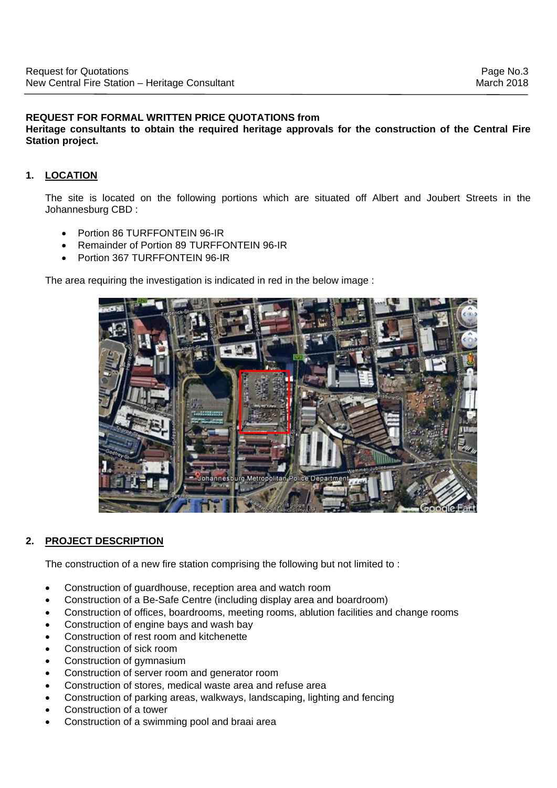## **REQUEST FOR FORMAL WRITTEN PRICE QUOTATIONS from**

**Heritage consultants to obtain the required heritage approvals for the construction of the Central Fire Station project.** 

## **1. LOCATION**

The site is located on the following portions which are situated off Albert and Joubert Streets in the Johannesburg CBD :

- Portion 86 TURFFONTEIN 96-IR
- Remainder of Portion 89 TURFFONTEIN 96-IR
- Portion 367 TURFFONTEIN 96-IR

The area requiring the investigation is indicated in red in the below image :



## **2. PROJECT DESCRIPTION**

The construction of a new fire station comprising the following but not limited to :

- Construction of guardhouse, reception area and watch room
- Construction of a Be-Safe Centre (including display area and boardroom)
- Construction of offices, boardrooms, meeting rooms, ablution facilities and change rooms
- Construction of engine bays and wash bay
- Construction of rest room and kitchenette
- Construction of sick room
- Construction of gymnasium
- Construction of server room and generator room
- Construction of stores, medical waste area and refuse area
- Construction of parking areas, walkways, landscaping, lighting and fencing
- Construction of a tower
- Construction of a swimming pool and braai area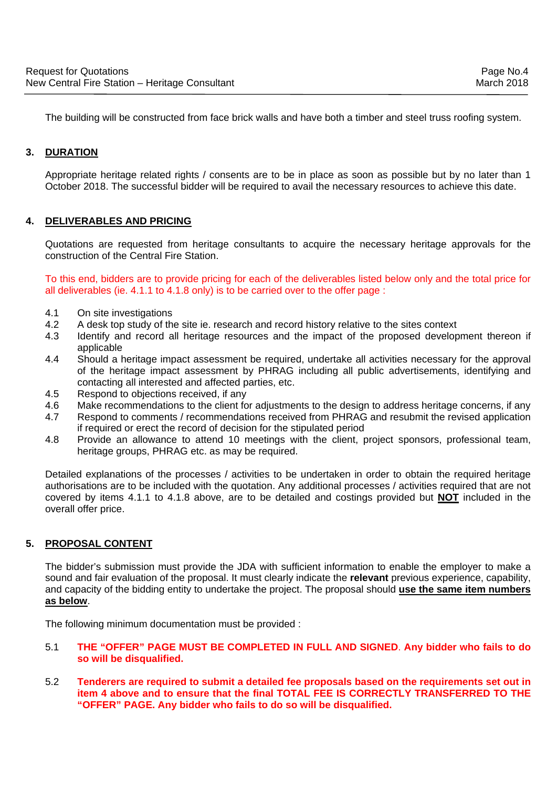The building will be constructed from face brick walls and have both a timber and steel truss roofing system.

## **3. DURATION**

Appropriate heritage related rights / consents are to be in place as soon as possible but by no later than 1 October 2018. The successful bidder will be required to avail the necessary resources to achieve this date.

## **4. DELIVERABLES AND PRICING**

Quotations are requested from heritage consultants to acquire the necessary heritage approvals for the construction of the Central Fire Station.

To this end, bidders are to provide pricing for each of the deliverables listed below only and the total price for all deliverables (ie. 4.1.1 to 4.1.8 only) is to be carried over to the offer page :

- 4.1 On site investigations<br>4.2 A desk top study of the
- A desk top study of the site ie. research and record history relative to the sites context
- 4.3 Identify and record all heritage resources and the impact of the proposed development thereon if applicable
- 4.4 Should a heritage impact assessment be required, undertake all activities necessary for the approval of the heritage impact assessment by PHRAG including all public advertisements, identifying and contacting all interested and affected parties, etc.
- 4.5 Respond to objections received, if any
- 4.6 Make recommendations to the client for adjustments to the design to address heritage concerns, if any
- 4.7 Respond to comments / recommendations received from PHRAG and resubmit the revised application if required or erect the record of decision for the stipulated period
- 4.8 Provide an allowance to attend 10 meetings with the client, project sponsors, professional team, heritage groups, PHRAG etc. as may be required.

Detailed explanations of the processes / activities to be undertaken in order to obtain the required heritage authorisations are to be included with the quotation. Any additional processes / activities required that are not covered by items 4.1.1 to 4.1.8 above, are to be detailed and costings provided but **NOT** included in the overall offer price.

## **5. PROPOSAL CONTENT**

The bidder's submission must provide the JDA with sufficient information to enable the employer to make a sound and fair evaluation of the proposal. It must clearly indicate the **relevant** previous experience, capability, and capacity of the bidding entity to undertake the project. The proposal should **use the same item numbers as below**.

The following minimum documentation must be provided :

- 5.1 **THE "OFFER" PAGE MUST BE COMPLETED IN FULL AND SIGNED**. **Any bidder who fails to do so will be disqualified.**
- 5.2 **Tenderers are required to submit a detailed fee proposals based on the requirements set out in item 4 above and to ensure that the final TOTAL FEE IS CORRECTLY TRANSFERRED TO THE "OFFER" PAGE. Any bidder who fails to do so will be disqualified.**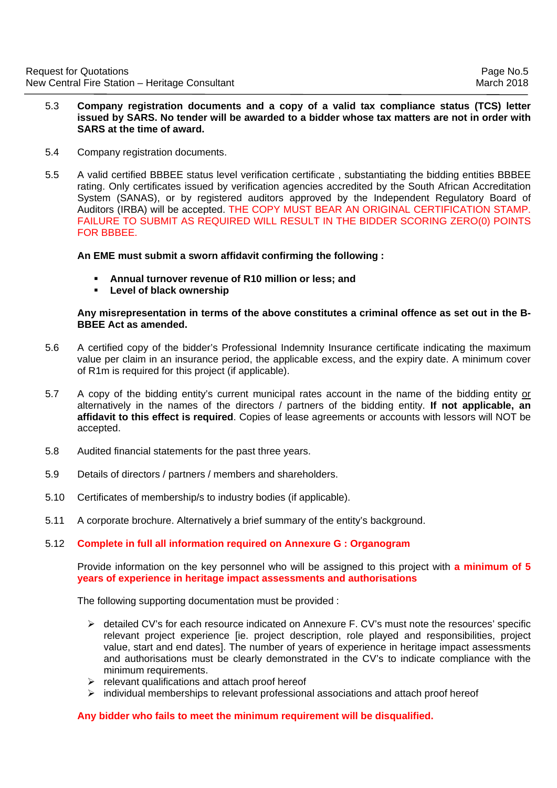- 5.3 **Company registration documents and a copy of a valid tax compliance status (TCS) letter issued by SARS. No tender will be awarded to a bidder whose tax matters are not in order with SARS at the time of award.**
- 5.4 Company registration documents.
- 5.5 A valid certified BBBEE status level verification certificate , substantiating the bidding entities BBBEE rating. Only certificates issued by verification agencies accredited by the South African Accreditation System (SANAS), or by registered auditors approved by the Independent Regulatory Board of Auditors (IRBA) will be accepted. THE COPY MUST BEAR AN ORIGINAL CERTIFICATION STAMP. FAILURE TO SUBMIT AS REQUIRED WILL RESULT IN THE BIDDER SCORING ZERO(0) POINTS FOR BBBEE.

## **An EME must submit a sworn affidavit confirming the following :**

- **Annual turnover revenue of R10 million or less; and**
- **Level of black ownership**

### **Any misrepresentation in terms of the above constitutes a criminal offence as set out in the B-BBEE Act as amended.**

- 5.6 A certified copy of the bidder's Professional Indemnity Insurance certificate indicating the maximum value per claim in an insurance period, the applicable excess, and the expiry date. A minimum cover of R1m is required for this project (if applicable).
- 5.7 A copy of the bidding entity's current municipal rates account in the name of the bidding entity or alternatively in the names of the directors / partners of the bidding entity. **If not applicable, an affidavit to this effect is required**. Copies of lease agreements or accounts with lessors will NOT be accepted.
- 5.8 Audited financial statements for the past three years.
- 5.9 Details of directors / partners / members and shareholders.
- 5.10 Certificates of membership/s to industry bodies (if applicable).
- 5.11 A corporate brochure. Alternatively a brief summary of the entity's background.
- 5.12 **Complete in full all information required on Annexure G : Organogram**

 Provide information on the key personnel who will be assigned to this project with **a minimum of 5 years of experience in heritage impact assessments and authorisations** 

The following supporting documentation must be provided :

- $\triangleright$  detailed CV's for each resource indicated on Annexure F. CV's must note the resources' specific relevant project experience [ie. project description, role played and responsibilities, project value, start and end dates]. The number of years of experience in heritage impact assessments and authorisations must be clearly demonstrated in the CV's to indicate compliance with the minimum requirements.
- $\triangleright$  relevant qualifications and attach proof hereof
- $\geq$  individual memberships to relevant professional associations and attach proof hereof

### **Any bidder who fails to meet the minimum requirement will be disqualified.**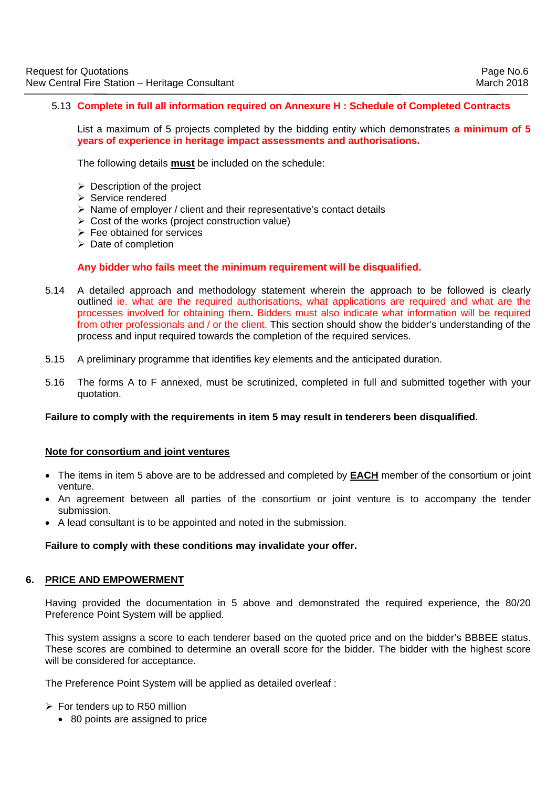## 5.13 **Complete in full all information required on Annexure H : Schedule of Completed Contracts**

List a maximum of 5 projects completed by the bidding entity which demonstrates **a minimum of 5 years of experience in heritage impact assessments and authorisations.**

The following details **must** be included on the schedule:

- $\triangleright$  Description of the project
- $\triangleright$  Service rendered
- $\triangleright$  Name of employer / client and their representative's contact details
- $\triangleright$  Cost of the works (project construction value)
- $\triangleright$  Fee obtained for services
- $\triangleright$  Date of completion

#### **Any bidder who fails meet the minimum requirement will be disqualified.**

- 5.14 A detailed approach and methodology statement wherein the approach to be followed is clearly outlined ie. what are the required authorisations, what applications are required and what are the processes involved for obtaining them. Bidders must also indicate what information will be required from other professionals and / or the client. This section should show the bidder's understanding of the process and input required towards the completion of the required services.
- 5.15 A preliminary programme that identifies key elements and the anticipated duration.
- 5.16 The forms A to F annexed, must be scrutinized, completed in full and submitted together with your quotation.

#### **Failure to comply with the requirements in item 5 may result in tenderers been disqualified.**

#### **Note for consortium and joint ventures**

- The items in item 5 above are to be addressed and completed by **EACH** member of the consortium or joint venture.
- An agreement between all parties of the consortium or joint venture is to accompany the tender submission.
- A lead consultant is to be appointed and noted in the submission.

### **Failure to comply with these conditions may invalidate your offer.**

#### **6. PRICE AND EMPOWERMENT**

Having provided the documentation in 5 above and demonstrated the required experience, the 80/20 Preference Point System will be applied.

This system assigns a score to each tenderer based on the quoted price and on the bidder's BBBEE status. These scores are combined to determine an overall score for the bidder. The bidder with the highest score will be considered for acceptance.

The Preference Point System will be applied as detailed overleaf :

 $\triangleright$  For tenders up to R50 million

• 80 points are assigned to price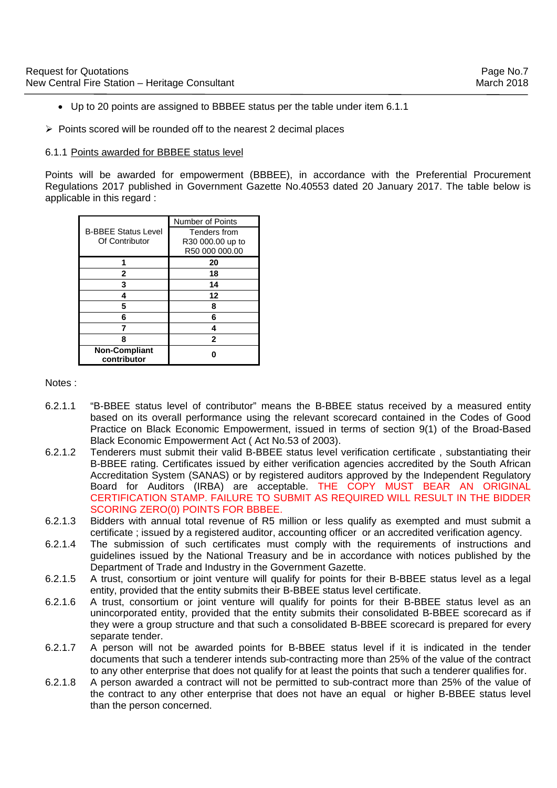- Up to 20 points are assigned to BBBEE status per the table under item 6.1.1
- $\triangleright$  Points scored will be rounded off to the nearest 2 decimal places

#### 6.1.1 Points awarded for BBBEE status level

Points will be awarded for empowerment (BBBEE), in accordance with the Preferential Procurement Regulations 2017 published in Government Gazette No.40553 dated 20 January 2017. The table below is applicable in this regard :

|                                     | <b>Number of Points</b> |
|-------------------------------------|-------------------------|
| <b>B-BBEE Status Level</b>          | Tenders from            |
| Of Contributor                      | R30 000.00 up to        |
|                                     | R50 000 000.00          |
|                                     | 20                      |
| $\mathbf{2}$                        | 18                      |
| 3                                   | 14                      |
|                                     | 12                      |
| 5                                   | 8                       |
| 6                                   | 6                       |
|                                     |                         |
| 8                                   | $\mathbf{2}$            |
| <b>Non-Compliant</b><br>contributor |                         |

#### Notes :

- 6.2.1.1 "B-BBEE status level of contributor" means the B-BBEE status received by a measured entity based on its overall performance using the relevant scorecard contained in the Codes of Good Practice on Black Economic Empowerment, issued in terms of section 9(1) of the Broad-Based Black Economic Empowerment Act ( Act No.53 of 2003).
- 6.2.1.2 Tenderers must submit their valid B-BBEE status level verification certificate , substantiating their B-BBEE rating. Certificates issued by either verification agencies accredited by the South African Accreditation System (SANAS) or by registered auditors approved by the Independent Regulatory Board for Auditors (IRBA) are acceptable. THE COPY MUST BEAR AN ORIGINAL CERTIFICATION STAMP. FAILURE TO SUBMIT AS REQUIRED WILL RESULT IN THE BIDDER SCORING ZERO(0) POINTS FOR BBBEE.
- 6.2.1.3 Bidders with annual total revenue of R5 million or less qualify as exempted and must submit a certificate ; issued by a registered auditor, accounting officer or an accredited verification agency.
- 6.2.1.4 The submission of such certificates must comply with the requirements of instructions and guidelines issued by the National Treasury and be in accordance with notices published by the Department of Trade and Industry in the Government Gazette.
- 6.2.1.5 A trust, consortium or joint venture will qualify for points for their B-BBEE status level as a legal entity, provided that the entity submits their B-BBEE status level certificate.
- 6.2.1.6 A trust, consortium or joint venture will qualify for points for their B-BBEE status level as an unincorporated entity, provided that the entity submits their consolidated B-BBEE scorecard as if they were a group structure and that such a consolidated B-BBEE scorecard is prepared for every separate tender.
- 6.2.1.7 A person will not be awarded points for B-BBEE status level if it is indicated in the tender documents that such a tenderer intends sub-contracting more than 25% of the value of the contract to any other enterprise that does not qualify for at least the points that such a tenderer qualifies for.
- 6.2.1.8 A person awarded a contract will not be permitted to sub-contract more than 25% of the value of the contract to any other enterprise that does not have an equal or higher B-BBEE status level than the person concerned.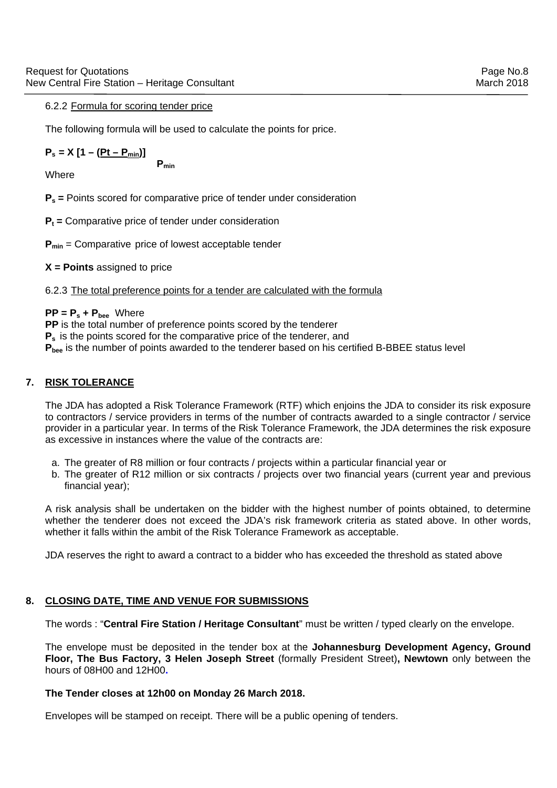## 6.2.2 Formula for scoring tender price

The following formula will be used to calculate the points for price.

$$
P_s = X [1 - (Pt - P_{min})]
$$

**Where** 

 **Pmin** 

**Ps =** Points scored for comparative price of tender under consideration

**P<sub>t</sub>** = Comparative price of tender under consideration

**P<sub>min</sub>** = Comparative price of lowest acceptable tender

**X = Points** assigned to price

## 6.2.3 The total preference points for a tender are calculated with the formula

 $PP = P_s + P_{bee}$  Where

**PP** is the total number of preference points scored by the tenderer **P**<sub>s</sub> is the points scored for the comparative price of the tenderer, and

**P<sub>bee</sub>** is the number of points awarded to the tenderer based on his certified B-BBEE status level

## **7. RISK TOLERANCE**

The JDA has adopted a Risk Tolerance Framework (RTF) which enjoins the JDA to consider its risk exposure to contractors / service providers in terms of the number of contracts awarded to a single contractor / service provider in a particular year. In terms of the Risk Tolerance Framework, the JDA determines the risk exposure as excessive in instances where the value of the contracts are:

- a. The greater of R8 million or four contracts / projects within a particular financial year or
- b. The greater of R12 million or six contracts / projects over two financial years (current year and previous financial year);

A risk analysis shall be undertaken on the bidder with the highest number of points obtained, to determine whether the tenderer does not exceed the JDA's risk framework criteria as stated above. In other words, whether it falls within the ambit of the Risk Tolerance Framework as acceptable.

JDA reserves the right to award a contract to a bidder who has exceeded the threshold as stated above

## **8. CLOSING DATE, TIME AND VENUE FOR SUBMISSIONS**

The words : "**Central Fire Station / Heritage Consultant**" must be written / typed clearly on the envelope.

The envelope must be deposited in the tender box at the **Johannesburg Development Agency, Ground Floor, The Bus Factory, 3 Helen Joseph Street** (formally President Street)**, Newtown** only between the hours of 08H00 and 12H00**.** 

### **The Tender closes at 12h00 on Monday 26 March 2018.**

Envelopes will be stamped on receipt. There will be a public opening of tenders.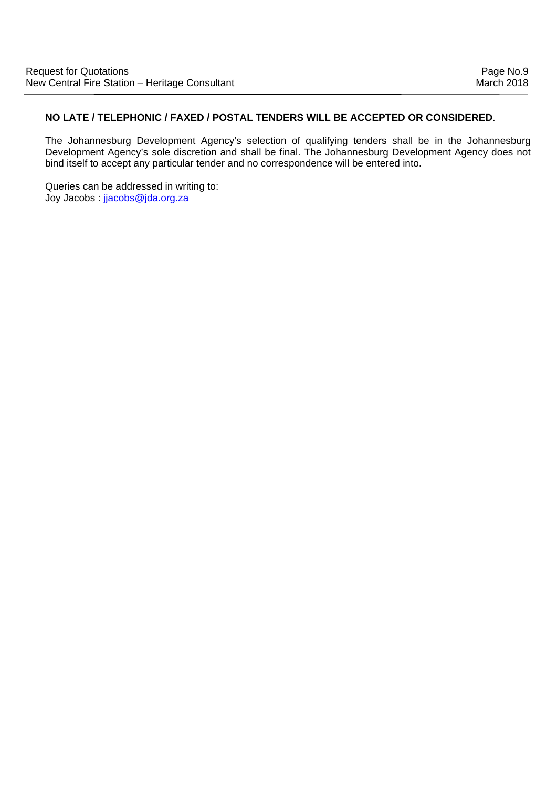## **NO LATE / TELEPHONIC / FAXED / POSTAL TENDERS WILL BE ACCEPTED OR CONSIDERED**.

The Johannesburg Development Agency's selection of qualifying tenders shall be in the Johannesburg Development Agency's sole discretion and shall be final. The Johannesburg Development Agency does not bind itself to accept any particular tender and no correspondence will be entered into.

Queries can be addressed in writing to: Joy Jacobs : jjacobs@jda.org.za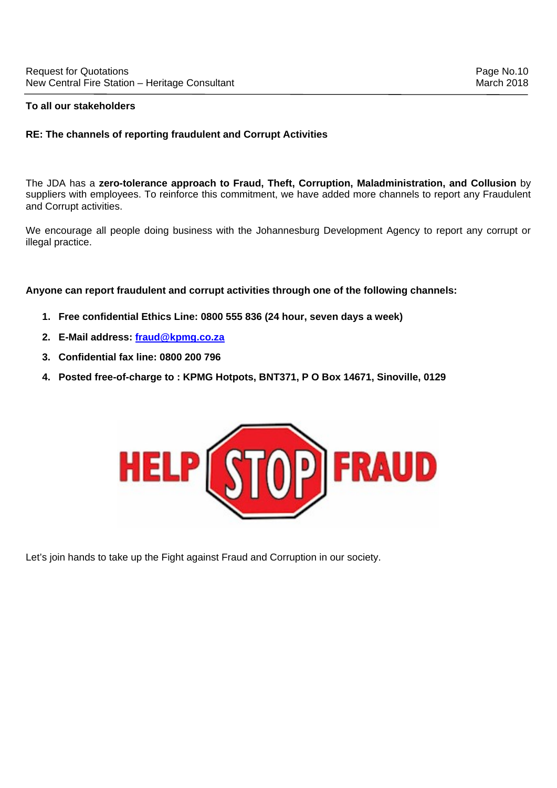## **RE: The channels of reporting fraudulent and Corrupt Activities**

The JDA has a **zero-tolerance approach to Fraud, Theft, Corruption, Maladministration, and Collusion** by suppliers with employees. To reinforce this commitment, we have added more channels to report any Fraudulent and Corrupt activities.

We encourage all people doing business with the Johannesburg Development Agency to report any corrupt or illegal practice.

**Anyone can report fraudulent and corrupt activities through one of the following channels:** 

- **1. Free confidential Ethics Line: 0800 555 836 (24 hour, seven days a week)**
- **2. E-Mail address: fraud@kpmg.co.za**
- **3. Confidential fax line: 0800 200 796**
- **4. Posted free-of-charge to : KPMG Hotpots, BNT371, P O Box 14671, Sinoville, 0129**



Let's join hands to take up the Fight against Fraud and Corruption in our society.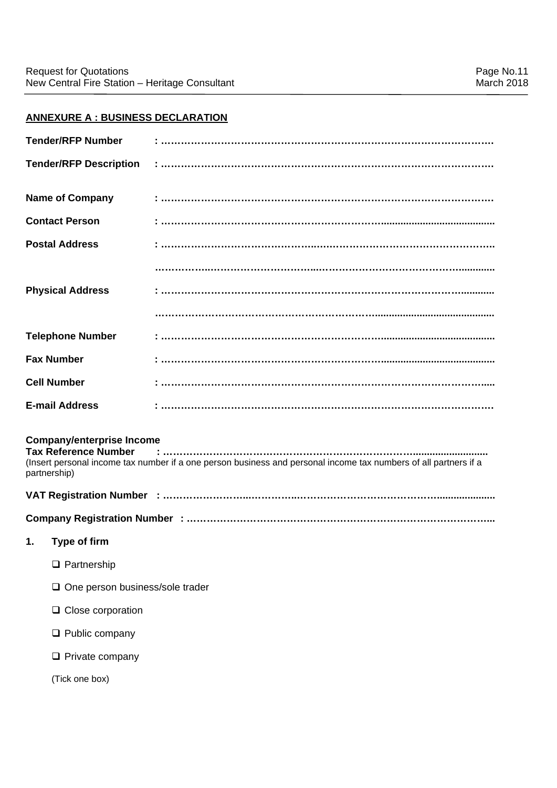## **ANNEXURE A : BUSINESS DECLARATION**

| <b>Tender/RFP Number</b>                                                        |                                                                                                                  |
|---------------------------------------------------------------------------------|------------------------------------------------------------------------------------------------------------------|
| <b>Tender/RFP Description</b>                                                   |                                                                                                                  |
| <b>Name of Company</b>                                                          |                                                                                                                  |
| <b>Contact Person</b>                                                           |                                                                                                                  |
| <b>Postal Address</b>                                                           |                                                                                                                  |
|                                                                                 |                                                                                                                  |
| <b>Physical Address</b>                                                         |                                                                                                                  |
|                                                                                 |                                                                                                                  |
| <b>Telephone Number</b>                                                         |                                                                                                                  |
| <b>Fax Number</b>                                                               |                                                                                                                  |
| <b>Cell Number</b>                                                              |                                                                                                                  |
| <b>E-mail Address</b>                                                           |                                                                                                                  |
| <b>Company/enterprise Income</b><br><b>Tax Reference Number</b><br>partnership) | (Insert personal income tax number if a one person business and personal income tax numbers of all partners if a |
|                                                                                 |                                                                                                                  |
|                                                                                 |                                                                                                                  |
| Type of firm<br>1.                                                              |                                                                                                                  |
| $\Box$ Partnership                                                              |                                                                                                                  |
| $\Box$ One person business/sole trader                                          |                                                                                                                  |
| $\Box$ Close corporation                                                        |                                                                                                                  |
| $\Box$ Public company                                                           |                                                                                                                  |
| $\Box$ Private company                                                          |                                                                                                                  |
| (Tick one box)                                                                  |                                                                                                                  |
|                                                                                 |                                                                                                                  |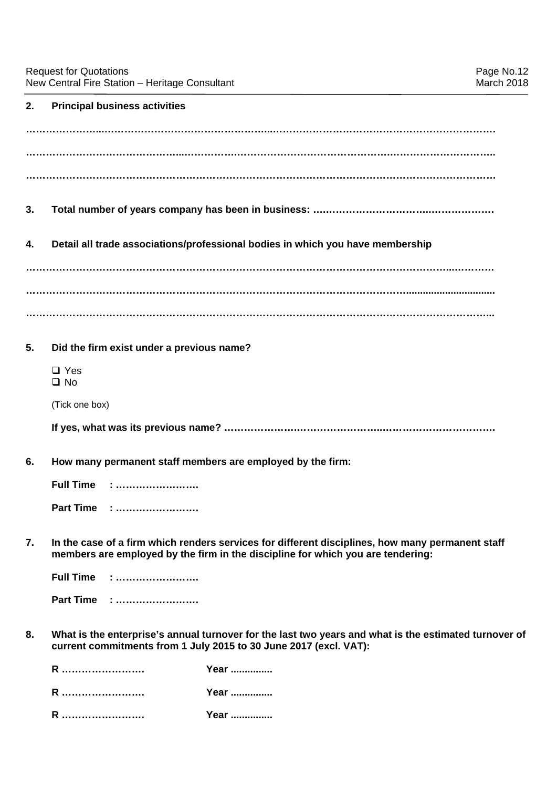## **2. Principal business activities**

| 3. |                                                            |                                                                                                                                                                                     |
|----|------------------------------------------------------------|-------------------------------------------------------------------------------------------------------------------------------------------------------------------------------------|
| 4. |                                                            | Detail all trade associations/professional bodies in which you have membership                                                                                                      |
|    |                                                            |                                                                                                                                                                                     |
|    |                                                            |                                                                                                                                                                                     |
|    |                                                            |                                                                                                                                                                                     |
| 5. | Did the firm exist under a previous name?                  |                                                                                                                                                                                     |
|    | $\Box$ Yes<br>$\square$ No                                 |                                                                                                                                                                                     |
|    | (Tick one box)                                             |                                                                                                                                                                                     |
|    |                                                            |                                                                                                                                                                                     |
| 6. | How many permanent staff members are employed by the firm: |                                                                                                                                                                                     |
|    | <b>Full Time</b>                                           |                                                                                                                                                                                     |
|    | Part Time :                                                |                                                                                                                                                                                     |
| 7. |                                                            | In the case of a firm which renders services for different disciplines, how many permanent staff<br>members are employed by the firm in the discipline for which you are tendering: |
|    | <b>Full Time</b>                                           |                                                                                                                                                                                     |
|    | Part Time :                                                |                                                                                                                                                                                     |
| 8. |                                                            | What is the enterprise's annual turnover for the last two years and what is the estimated turnover of<br>current commitments from 1 July 2015 to 30 June 2017 (excl. VAT):          |
|    | R                                                          | Year                                                                                                                                                                                |
|    | R                                                          | Year                                                                                                                                                                                |
|    | R                                                          | Year                                                                                                                                                                                |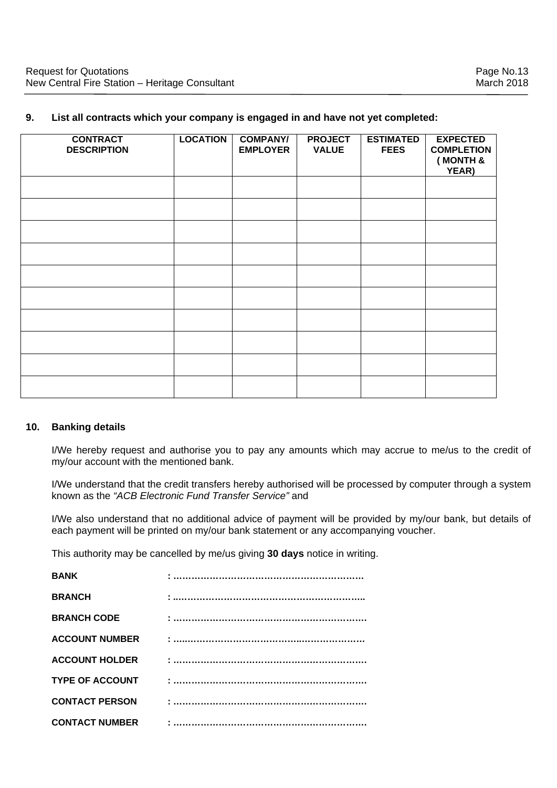## **9. List all contracts which your company is engaged in and have not yet completed:**

| <b>CONTRACT</b><br><b>DESCRIPTION</b> | <b>LOCATION</b> | <b>COMPANY/</b><br><b>EMPLOYER</b> | <b>PROJECT</b><br><b>VALUE</b> | <b>ESTIMATED</b><br><b>FEES</b> | <b>EXPECTED</b><br><b>COMPLETION</b><br>(MONTH &<br>YEAR) |
|---------------------------------------|-----------------|------------------------------------|--------------------------------|---------------------------------|-----------------------------------------------------------|
|                                       |                 |                                    |                                |                                 |                                                           |
|                                       |                 |                                    |                                |                                 |                                                           |
|                                       |                 |                                    |                                |                                 |                                                           |
|                                       |                 |                                    |                                |                                 |                                                           |
|                                       |                 |                                    |                                |                                 |                                                           |
|                                       |                 |                                    |                                |                                 |                                                           |
|                                       |                 |                                    |                                |                                 |                                                           |
|                                       |                 |                                    |                                |                                 |                                                           |
|                                       |                 |                                    |                                |                                 |                                                           |
|                                       |                 |                                    |                                |                                 |                                                           |

## **10. Banking details**

I/We hereby request and authorise you to pay any amounts which may accrue to me/us to the credit of my/our account with the mentioned bank.

I/We understand that the credit transfers hereby authorised will be processed by computer through a system known as the *"ACB Electronic Fund Transfer Service"* and

I/We also understand that no additional advice of payment will be provided by my/our bank, but details of each payment will be printed on my/our bank statement or any accompanying voucher.

This authority may be cancelled by me/us giving **30 days** notice in writing.

| <b>BANK</b>            |  |
|------------------------|--|
| <b>BRANCH</b>          |  |
| <b>BRANCH CODE</b>     |  |
| <b>ACCOUNT NUMBER</b>  |  |
| <b>ACCOUNT HOLDER</b>  |  |
| <b>TYPE OF ACCOUNT</b> |  |
| <b>CONTACT PERSON</b>  |  |
| <b>CONTACT NUMBER</b>  |  |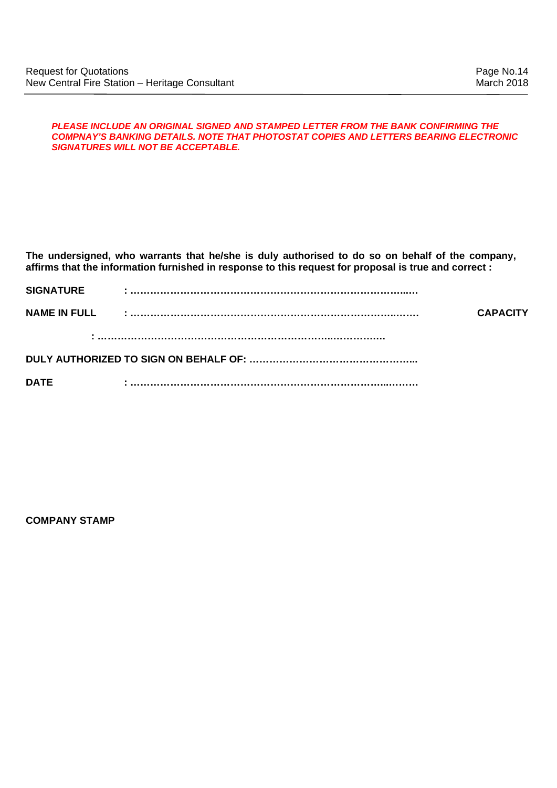#### *PLEASE INCLUDE AN ORIGINAL SIGNED AND STAMPED LETTER FROM THE BANK CONFIRMING THE COMPNAY'S BANKING DETAILS. NOTE THAT PHOTOSTAT COPIES AND LETTERS BEARING ELECTRONIC SIGNATURES WILL NOT BE ACCEPTABLE.*

**The undersigned, who warrants that he/she is duly authorised to do so on behalf of the company, affirms that the information furnished in response to this request for proposal is true and correct :** 

| <b>SIGNATURE</b>    |                 |
|---------------------|-----------------|
| <b>NAME IN FULL</b> | <b>CAPACITY</b> |
|                     |                 |
|                     |                 |

**DATE : …………………………………………………………………...………** 

**COMPANY STAMP**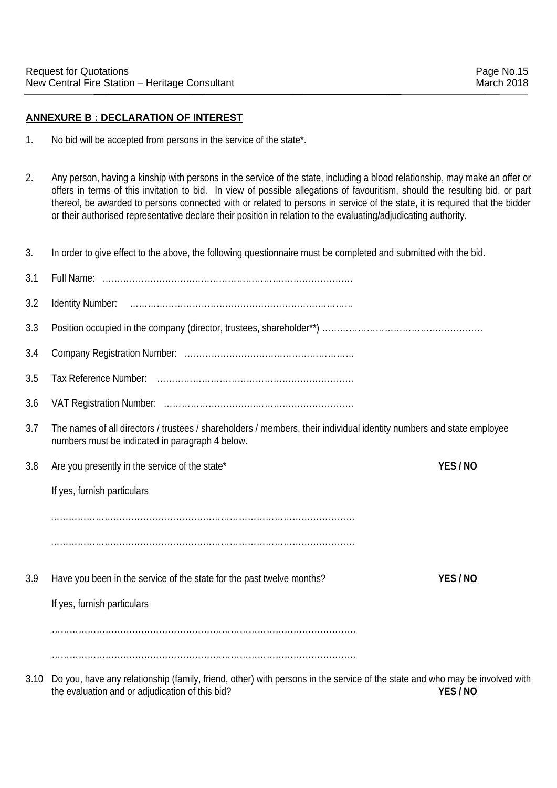## **ANNEXURE B : DECLARATION OF INTEREST**

- 1. No bid will be accepted from persons in the service of the state\*.
- 2. Any person, having a kinship with persons in the service of the state, including a blood relationship, may make an offer or offers in terms of this invitation to bid. In view of possible allegations of favouritism, should the resulting bid, or part thereof, be awarded to persons connected with or related to persons in service of the state, it is required that the bidder or their authorised representative declare their position in relation to the evaluating/adjudicating authority.

3. In order to give effect to the above, the following questionnaire must be completed and submitted with the bid.

| 3.1  |                                                                                                                                                                         |        |
|------|-------------------------------------------------------------------------------------------------------------------------------------------------------------------------|--------|
| 3.2  |                                                                                                                                                                         |        |
| 3.3  |                                                                                                                                                                         |        |
| 3.4  |                                                                                                                                                                         |        |
| 3.5  |                                                                                                                                                                         |        |
| 3.6  |                                                                                                                                                                         |        |
| 3.7  | The names of all directors / trustees / shareholders / members, their individual identity numbers and state employee<br>numbers must be indicated in paragraph 4 below. |        |
| 3.8  | Are you presently in the service of the state*                                                                                                                          | YES/NO |
|      | If yes, furnish particulars                                                                                                                                             |        |
|      |                                                                                                                                                                         |        |
|      |                                                                                                                                                                         |        |
| 3.9  | Have you been in the service of the state for the past twelve months?                                                                                                   | YES/NO |
|      | If yes, furnish particulars                                                                                                                                             |        |
|      |                                                                                                                                                                         |        |
|      |                                                                                                                                                                         |        |
| 3.10 | Do you, have any relationship (family, friend, other) with persons in the service of the state and who may be involved with                                             |        |

the evaluation and or adjudication of this bid? **YES / NO**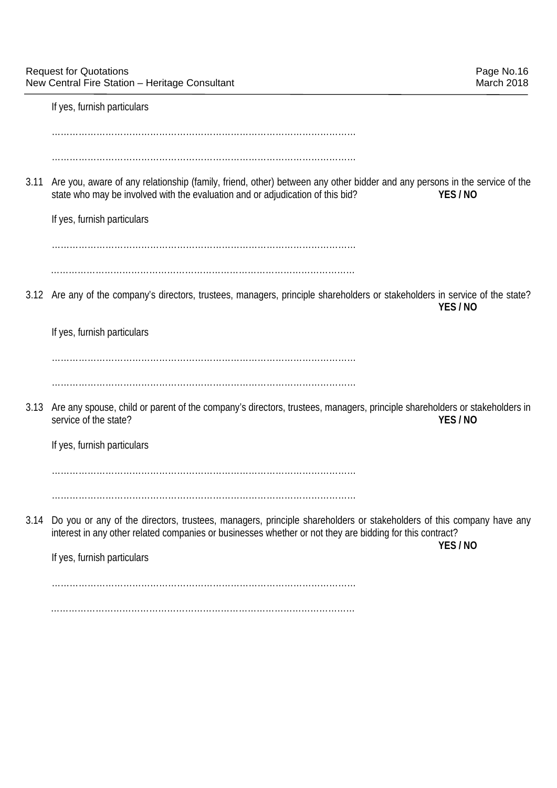If yes, furnish particulars

 ………………………………………………………………………………………… ………………………………………………………………………………………… 3.11 Are you, aware of any relationship (family, friend, other) between any other bidder and any persons in the service of the state who may be involved with the evaluation and or adjudication of this bid? **YES / NO** If yes, furnish particulars ………………………………………………………………………………………… ………………………………………………………………………………………… 3.12 Are any of the company's directors, trustees, managers, principle shareholders or stakeholders in service of the state? **YES / NO** If yes, furnish particulars ………………………………………………………………………………………… ………………………………………………………………………………………… 3.13 Are any spouse, child or parent of the company's directors, trustees, managers, principle shareholders or stakeholders in service of the state? **YES / NO** If yes, furnish particulars ………………………………………………………………………………………… ………………………………………………………………………………………… 3.14 Do you or any of the directors, trustees, managers, principle shareholders or stakeholders of this company have any interest in any other related companies or businesses whether or not they are bidding for this contract? **YES / NO**  If yes, furnish particulars ………………………………………………………………………………………… …………………………………………………………………………………………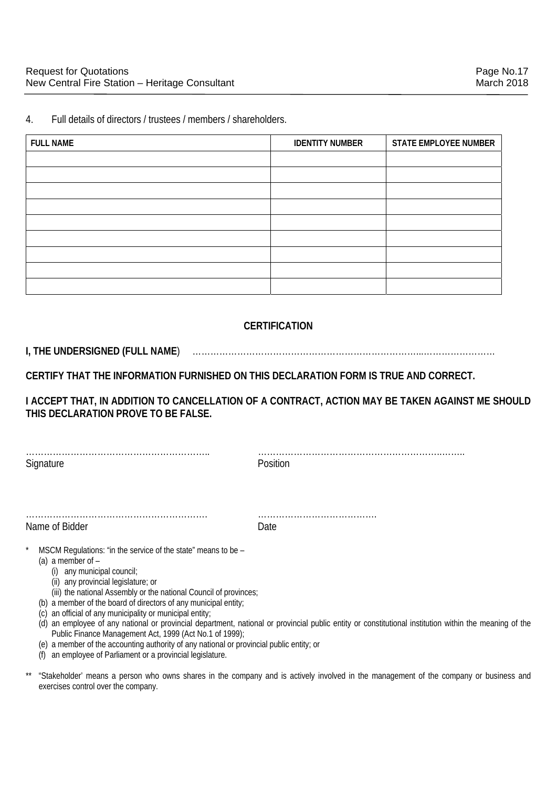4. Full details of directors / trustees / members / shareholders.

| <b>FULL NAME</b> | <b>IDENTITY NUMBER</b> | STATE EMPLOYEE NUMBER |
|------------------|------------------------|-----------------------|
|                  |                        |                       |
|                  |                        |                       |
|                  |                        |                       |
|                  |                        |                       |
|                  |                        |                       |
|                  |                        |                       |
|                  |                        |                       |
|                  |                        |                       |
|                  |                        |                       |

## **CERTIFICATION**

## **I, THE UNDERSIGNED (FULL NAME**) …………………………………………………………………...……………………

**CERTIFY THAT THE INFORMATION FURNISHED ON THIS DECLARATION FORM IS TRUE AND CORRECT.** 

**I ACCEPT THAT, IN ADDITION TO CANCELLATION OF A CONTRACT, ACTION MAY BE TAKEN AGAINST ME SHOULD THIS DECLARATION PROVE TO BE FALSE.** 

| Signature |  |  |
|-----------|--|--|

…………………………………………………….. ……………………………………………………..…….. Position

|                | . |
|----------------|---|
| Name of Bidder |   |

……………………………………………………. ………………………………….

- MSCM Regulations: "in the service of the state" means to be
	- (a) a member of  $-$ 
		- (i) any municipal council;
		- (ii) any provincial legislature; or
		- (iii) the national Assembly or the national Council of provinces;
	- (b) a member of the board of directors of any municipal entity;
	- (c) an official of any municipality or municipal entity;
	- (d) an employee of any national or provincial department, national or provincial public entity or constitutional institution within the meaning of the Public Finance Management Act, 1999 (Act No.1 of 1999);
	- (e) a member of the accounting authority of any national or provincial public entity; or
	- (f) an employee of Parliament or a provincial legislature.
- \*\* "Stakeholder' means a person who owns shares in the company and is actively involved in the management of the company or business and exercises control over the company.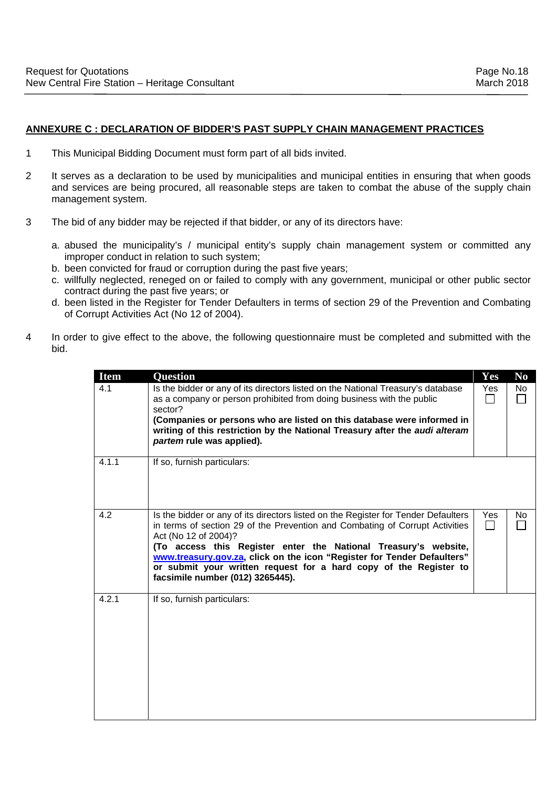## **ANNEXURE C : DECLARATION OF BIDDER'S PAST SUPPLY CHAIN MANAGEMENT PRACTICES**

- 1 This Municipal Bidding Document must form part of all bids invited.
- 2 It serves as a declaration to be used by municipalities and municipal entities in ensuring that when goods and services are being procured, all reasonable steps are taken to combat the abuse of the supply chain management system.
- 3 The bid of any bidder may be rejected if that bidder, or any of its directors have:
	- a. abused the municipality's / municipal entity's supply chain management system or committed any improper conduct in relation to such system;
	- b. been convicted for fraud or corruption during the past five years;
	- c. willfully neglected, reneged on or failed to comply with any government, municipal or other public sector contract during the past five years; or
	- d. been listed in the Register for Tender Defaulters in terms of section 29 of the Prevention and Combating of Corrupt Activities Act (No 12 of 2004).
- 4 In order to give effect to the above, the following questionnaire must be completed and submitted with the bid.

| <b>Item</b> | <b>Question</b>                                                                                                                                                                                                                                                                                                                                                                                                                                   | Yes | N <sub>0</sub> |
|-------------|---------------------------------------------------------------------------------------------------------------------------------------------------------------------------------------------------------------------------------------------------------------------------------------------------------------------------------------------------------------------------------------------------------------------------------------------------|-----|----------------|
| 4.1         | Is the bidder or any of its directors listed on the National Treasury's database<br>as a company or person prohibited from doing business with the public<br>sector?                                                                                                                                                                                                                                                                              | Yes | <b>No</b>      |
|             | (Companies or persons who are listed on this database were informed in<br>writing of this restriction by the National Treasury after the audi alteram<br>partem rule was applied).                                                                                                                                                                                                                                                                |     |                |
| 4.1.1       | If so, furnish particulars:                                                                                                                                                                                                                                                                                                                                                                                                                       |     |                |
| 4.2         | Is the bidder or any of its directors listed on the Register for Tender Defaulters<br>in terms of section 29 of the Prevention and Combating of Corrupt Activities<br>Act (No 12 of 2004)?<br>(To access this Register enter the National Treasury's website,<br>www.treasury.gov.za, click on the icon "Register for Tender Defaulters"<br>or submit your written request for a hard copy of the Register to<br>facsimile number (012) 3265445). | Yes | No             |
| 4.2.1       | If so, furnish particulars:                                                                                                                                                                                                                                                                                                                                                                                                                       |     |                |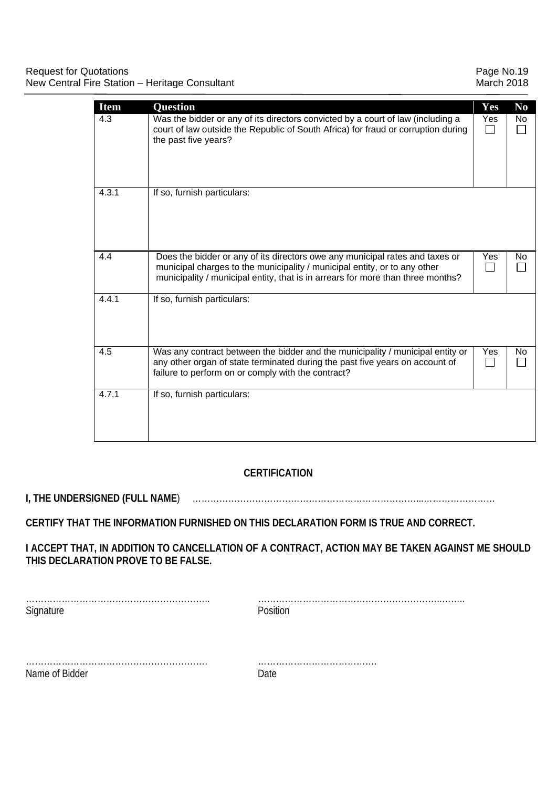| <b>Item</b> | <b>Question</b>                                                                                                                                                                                                                              | Yes | N <sub>0</sub> |
|-------------|----------------------------------------------------------------------------------------------------------------------------------------------------------------------------------------------------------------------------------------------|-----|----------------|
| 4.3         | Was the bidder or any of its directors convicted by a court of law (including a<br>court of law outside the Republic of South Africa) for fraud or corruption during<br>the past five years?                                                 | Yes | No             |
| 4.3.1       | If so, furnish particulars:                                                                                                                                                                                                                  |     |                |
| 4.4         | Does the bidder or any of its directors owe any municipal rates and taxes or<br>municipal charges to the municipality / municipal entity, or to any other<br>municipality / municipal entity, that is in arrears for more than three months? | Yes | No.            |
| 4.4.1       | If so, furnish particulars:                                                                                                                                                                                                                  |     |                |
| 4.5         | Was any contract between the bidder and the municipality / municipal entity or<br>any other organ of state terminated during the past five years on account of<br>failure to perform on or comply with the contract?                         | Yes | No.            |
| 4.7.1       | If so, furnish particulars:                                                                                                                                                                                                                  |     |                |

## **CERTIFICATION**

**I, THE UNDERSIGNED (FULL NAME**) …………………………………………………………………...……………………

**CERTIFY THAT THE INFORMATION FURNISHED ON THIS DECLARATION FORM IS TRUE AND CORRECT.** 

**I ACCEPT THAT, IN ADDITION TO CANCELLATION OF A CONTRACT, ACTION MAY BE TAKEN AGAINST ME SHOULD THIS DECLARATION PROVE TO BE FALSE.** 

| Signature      | Position |
|----------------|----------|
|                |          |
|                |          |
| Name of Bidder | 7ate     |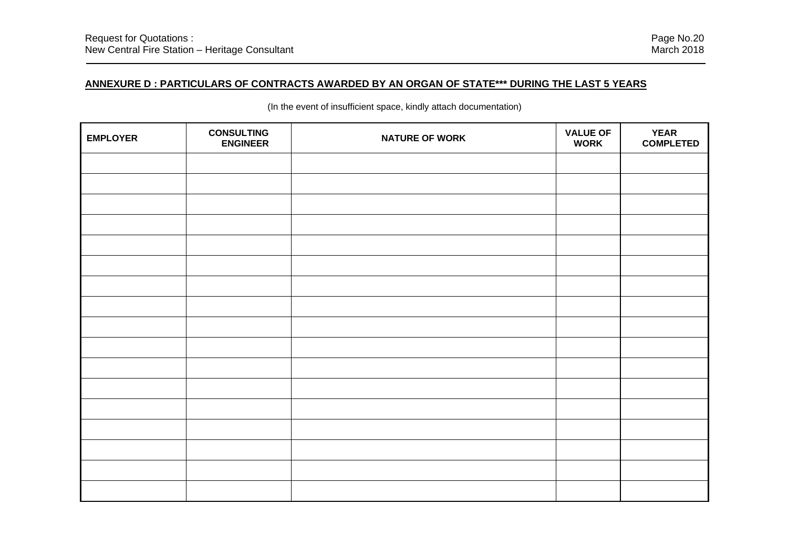**EMPLOYER CONSULTING ENGINEERNATURE OF WORK COMPLETED** 

(In the event of insufficient space, kindly attach documentation)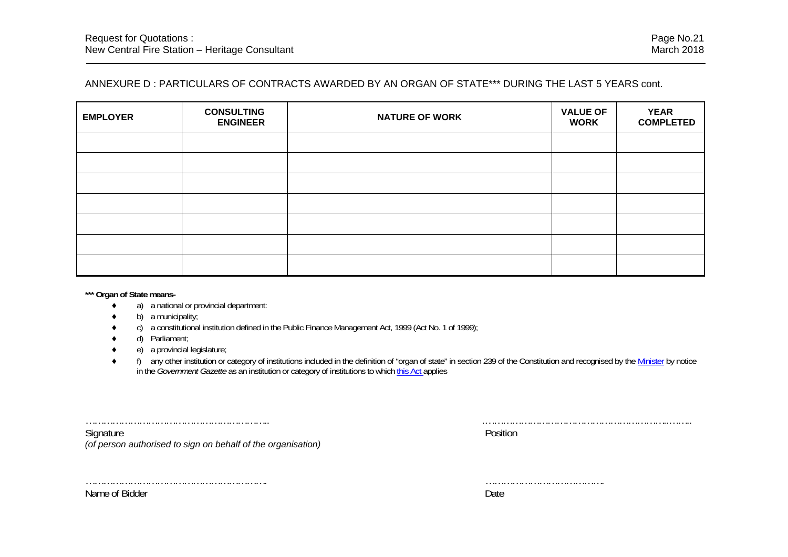## ANNEXURE D : PARTICULARS OF CONTRACTS AWARDED BY AN ORGAN OF STATE\*\*\* DURING THE LAST 5 YEARS cont.

| <b>EMPLOYER</b> | <b>CONSULTING</b><br><b>ENGINEER</b> | <b>NATURE OF WORK</b> | <b>VALUE OF</b><br><b>WORK</b> | <b>YEAR</b><br><b>COMPLETED</b> |
|-----------------|--------------------------------------|-----------------------|--------------------------------|---------------------------------|
|                 |                                      |                       |                                |                                 |
|                 |                                      |                       |                                |                                 |
|                 |                                      |                       |                                |                                 |
|                 |                                      |                       |                                |                                 |
|                 |                                      |                       |                                |                                 |
|                 |                                      |                       |                                |                                 |
|                 |                                      |                       |                                |                                 |

**\*\*\* Organ of State means-** 

- ٠ a) a national or provincial department:
- ٠ b) a municipality;
- ٠ c) a constitutional institution defined in the Public Finance Management Act, 1999 (Act No. 1 of 1999);
- ٠ d) Parliament;
- ٠ e) a provincial legislature;
- ٠ f) any other institution or category of institutions included in the definition of "organ of state" in section 239 of the Constitution and recognised by the Minister by notice in the *Government Gazette* as an institution or category of institutions to which this Act applies

Signature Position *(of person authorised to sign on behalf of the organisation)*

…………………………………………………….. .……………………………………………………..……..

……………………………………………………. ………………………………….

Name of Bidder **Date**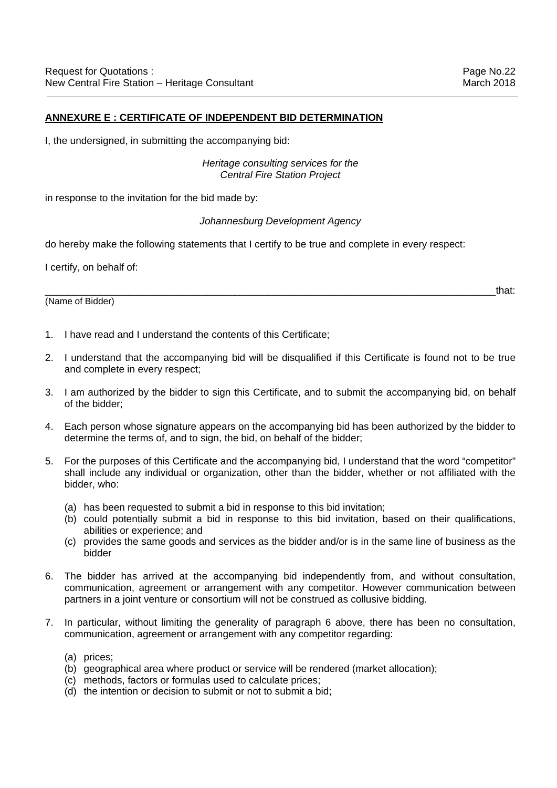## **ANNEXURE E : CERTIFICATE OF INDEPENDENT BID DETERMINATION**

I, the undersigned, in submitting the accompanying bid:

*Heritage consulting services for the Central Fire Station Project* 

in response to the invitation for the bid made by:

### *Johannesburg Development Agency*

do hereby make the following statements that I certify to be true and complete in every respect:

I certify, on behalf of:

(Name of Bidder)

1. I have read and I understand the contents of this Certificate;

- 2. I understand that the accompanying bid will be disqualified if this Certificate is found not to be true and complete in every respect;
- 3. I am authorized by the bidder to sign this Certificate, and to submit the accompanying bid, on behalf of the bidder;
- 4. Each person whose signature appears on the accompanying bid has been authorized by the bidder to determine the terms of, and to sign, the bid, on behalf of the bidder;
- 5. For the purposes of this Certificate and the accompanying bid, I understand that the word "competitor" shall include any individual or organization, other than the bidder, whether or not affiliated with the bidder, who:
	- (a) has been requested to submit a bid in response to this bid invitation;
	- (b) could potentially submit a bid in response to this bid invitation, based on their qualifications, abilities or experience; and
	- (c) provides the same goods and services as the bidder and/or is in the same line of business as the bidder
- 6. The bidder has arrived at the accompanying bid independently from, and without consultation, communication, agreement or arrangement with any competitor. However communication between partners in a joint venture or consortium will not be construed as collusive bidding.
- 7. In particular, without limiting the generality of paragraph 6 above, there has been no consultation, communication, agreement or arrangement with any competitor regarding:
	- (a) prices;
	- (b) geographical area where product or service will be rendered (market allocation);
	- (c) methods, factors or formulas used to calculate prices;
	- (d) the intention or decision to submit or not to submit a bid;

\_\_\_\_\_\_\_\_\_\_\_\_\_\_\_\_\_\_\_\_\_\_\_\_\_\_\_\_\_\_\_\_\_\_\_\_\_\_\_\_\_\_\_\_\_\_\_\_\_\_\_\_\_\_\_\_\_\_\_\_\_\_\_\_\_\_\_\_\_\_\_\_\_\_\_\_\_\_\_\_\_that: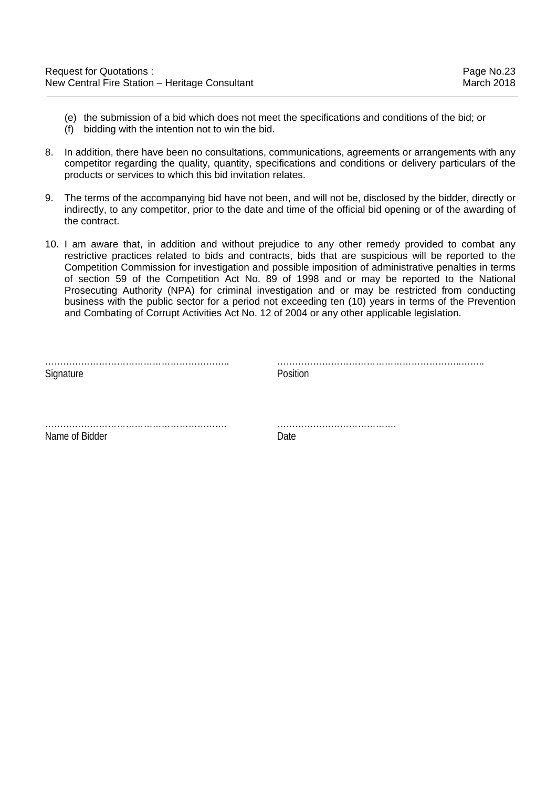- (e) the submission of a bid which does not meet the specifications and conditions of the bid; or
- (f) bidding with the intention not to win the bid.
- 8. In addition, there have been no consultations, communications, agreements or arrangements with any competitor regarding the quality, quantity, specifications and conditions or delivery particulars of the products or services to which this bid invitation relates.
- 9. The terms of the accompanying bid have not been, and will not be, disclosed by the bidder, directly or indirectly, to any competitor, prior to the date and time of the official bid opening or of the awarding of the contract.
- 10. I am aware that, in addition and without prejudice to any other remedy provided to combat any restrictive practices related to bids and contracts, bids that are suspicious will be reported to the Competition Commission for investigation and possible imposition of administrative penalties in terms of section 59 of the Competition Act No. 89 of 1998 and or may be reported to the National Prosecuting Authority (NPA) for criminal investigation and or may be restricted from conducting business with the public sector for a period not exceeding ten (10) years in terms of the Prevention and Combating of Corrupt Activities Act No. 12 of 2004 or any other applicable legislation.

| Signature      | Position |
|----------------|----------|
|                |          |
| Name of Bidder | Date     |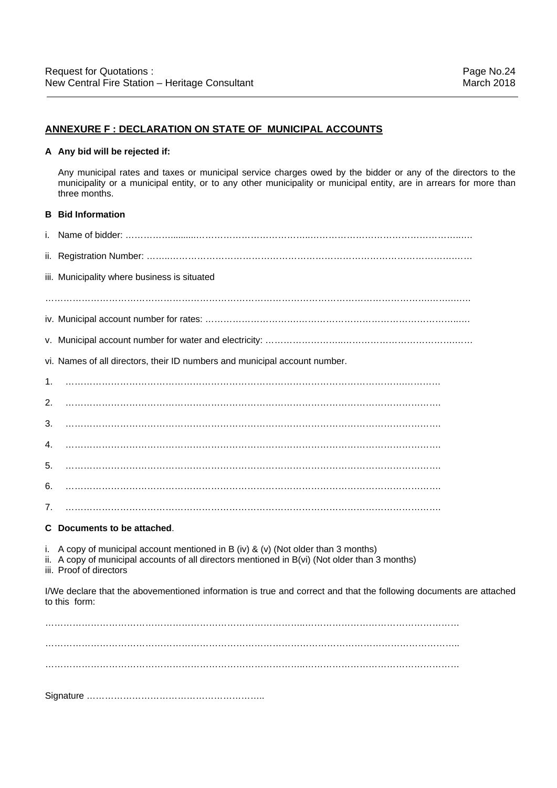#### **ANNEXURE F : DECLARATION ON STATE OF MUNICIPAL ACCOUNTS**

#### **A Any bid will be rejected if:**

 Any municipal rates and taxes or municipal service charges owed by the bidder or any of the directors to the municipality or a municipal entity, or to any other municipality or municipal entity, are in arrears for more than three months.

# **B Bid Information**  i. Name of bidder: ……………..........………………………………..…………………………………………..…. ii. Registration Number: ……..………………………………………………………………………………….……

iii. Municipality where business is situated

……………………………………………………………………………………………………………….…….….…

- iv. Municipal account number for rates: ………………………….……………………………………………..….
- v. Municipal account number for water and electricity: ……………………..……………………………….……

vi. Names of all directors, their ID numbers and municipal account number.

1. ………………………………………………………………………………………………….…………

2. …………………………………………………………………………………………………………….

3. …………………………………………………………………………………………………………….

4. …………………………………………………………………………………………………………….

- 5. …………………………………………………………………………………………………………….
- 6. …………………………………………………………………………………………………………….
- 7. …………………………………………………………………………………………………………….

#### **C Documents to be attached**.

i. A copy of municipal account mentioned in B (iv) & (v) (Not older than 3 months)

ii. A copy of municipal accounts of all directors mentioned in B(vi) (Not older than 3 months)

iii. Proof of directors

I/We declare that the abovementioned information is true and correct and that the following documents are attached to this form:

…………………………………………………………………………..…………………………………………… . The contract of the contract of the contract of the contract of the contract of the contract of the contract of the contract of the contract of the contract of the contract of the contract of the contract of the contrac . The contract of the contract of the contract of the contract of the contract of the contract of the contract of the contract of the contract of the contract of the contract of the contract of the contract of the contrac

Signature …………………………………………………..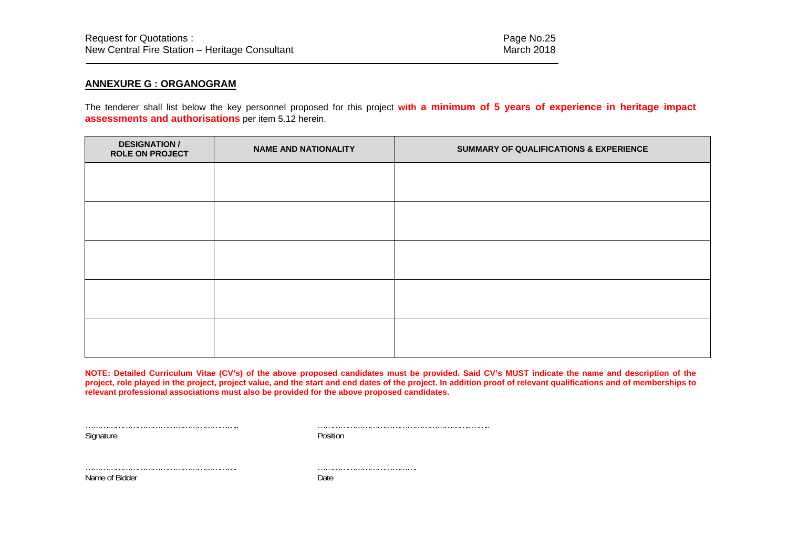#### **ANNEXURE G : ORGANOGRAM**

The tenderer shall list below the key personnel proposed for this project **with a minimum of 5 years of experience in heritage impact assessments and authorisations** per item 5.12 herein.

| <b>DESIGNATION /</b><br><b>ROLE ON PROJECT</b> | <b>NAME AND NATIONALITY</b> | SUMMARY OF QUALIFICATIONS & EXPERIENCE |  |
|------------------------------------------------|-----------------------------|----------------------------------------|--|
|                                                |                             |                                        |  |
|                                                |                             |                                        |  |
|                                                |                             |                                        |  |
|                                                |                             |                                        |  |
|                                                |                             |                                        |  |
|                                                |                             |                                        |  |
|                                                |                             |                                        |  |
|                                                |                             |                                        |  |
|                                                |                             |                                        |  |
|                                                |                             |                                        |  |

**NOTE: Detailed Curriculum Vitae (CV's) of the above proposed candidates must be provided. Said CV's MUST indicate the name and description of the project, role played in the project, project value, and the start and end dates of the project. In addition proof of relevant qualifications and of memberships to relevant professional associations must also be provided for the above proposed candidates.**

Signature Position

…………………………………………………….. ……………………………………………………..……..

Name of Bidder Date

……………………………………………………. ………………………………….